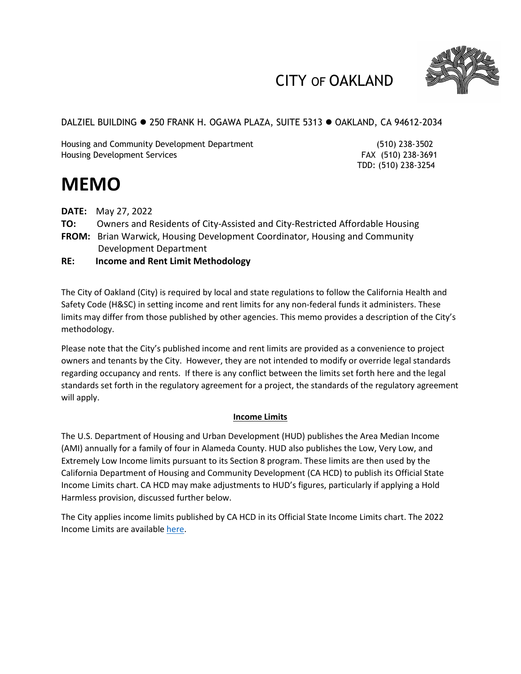

## CITY OF OAKLAND

DALZIEL BUILDING ● 250 FRANK H. OGAWA PLAZA, SUITE 5313 ● OAKLAND, CA 94612-2034

Housing and Community Development Department (510) 238-3502 Housing Development Services FAX (510) 238-3691

TDD: (510) 238-3254

# **MEMO**

- **DATE:** May 27, 2022
- **TO:** Owners and Residents of City-Assisted and City-Restricted Affordable Housing
- **FROM:** Brian Warwick, Housing Development Coordinator, Housing and Community Development Department
- **RE: Income and Rent Limit Methodology**

The City of Oakland (City) is required by local and state regulations to follow the California Health and Safety Code (H&SC) in setting income and rent limits for any non-federal funds it administers. These limits may differ from those published by other agencies. This memo provides a description of the City's methodology.

Please note that the City's published income and rent limits are provided as a convenience to project owners and tenants by the City. However, they are not intended to modify or override legal standards regarding occupancy and rents. If there is any conflict between the limits set forth here and the legal standards set forth in the regulatory agreement for a project, the standards of the regulatory agreement will apply.

## **Income Limits**

The U.S. Department of Housing and Urban Development (HUD) publishes the Area Median Income (AMI) annually for a family of four in Alameda County. HUD also publishes the Low, Very Low, and Extremely Low Income limits pursuant to its Section 8 program. These limits are then used by the California Department of Housing and Community Development (CA HCD) to publish its Official State Income Limits chart. CA HCD may make adjustments to HUD's figures, particularly if applying a Hold Harmless provision, discussed further below.

The City applies income limits published by CA HCD in its Official State Income Limits chart. The 2022 Income Limits are available [here.](https://www.hcd.ca.gov/docs/grants-and-funding/inc2k22.pdf)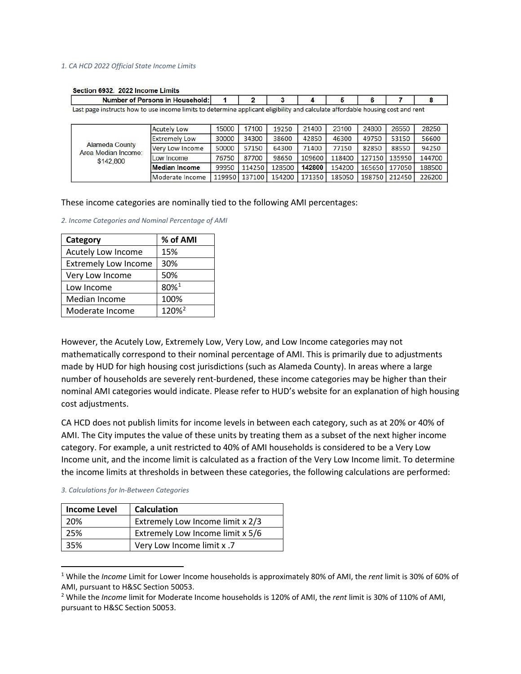#### *1. CA HCD 2022 Official State Income Limits*

|                                                                                                                                | <b>Number of Persons in Household:</b> |       | 2             |        | 4      | 5      | 6     |               |        |
|--------------------------------------------------------------------------------------------------------------------------------|----------------------------------------|-------|---------------|--------|--------|--------|-------|---------------|--------|
| Last page instructs how to use income limits to determine applicant eligibility and calculate affordable housing cost and rent |                                        |       |               |        |        |        |       |               |        |
|                                                                                                                                | <b>Acutely Low</b>                     | 15000 | 17100         | 19250  | 21400  | 23100  | 24800 | 26550         | 28250  |
| <b>Alameda County</b><br>Area Median Income:                                                                                   | <b>Extremely Low</b>                   | 30000 | 34300         | 38600  | 42850  | 46300  | 49750 | 53150         | 56600  |
|                                                                                                                                | <b>Very Low Income</b>                 | 50000 | 57150         | 64300  | 71400  | 77150  | 82850 | 88550         | 94250  |
| \$142,800                                                                                                                      | Low Income                             | 76750 | 87700         | 98650  | 109600 | 118400 |       | 127150 135950 | 144700 |
|                                                                                                                                | <b>Median Income</b>                   | 99950 | 114250        | 128500 | 142800 | 154200 |       | 165650 177050 | 188500 |
|                                                                                                                                | Moderate Income                        |       | 119950 137100 | 154200 | 171350 | 185050 |       | 198750 212450 | 226200 |

#### Section 6932. 2022 Income Limits

These income categories are nominally tied to the following AMI percentages:

*2. Income Categories and Nominal Percentage of AMI*

| Category                    | % of AMI          |
|-----------------------------|-------------------|
| Acutely Low Income          | 15%               |
| <b>Extremely Low Income</b> | 30%               |
| Very Low Income             | 50%               |
| Low Income                  | 80%1              |
| Median Income               | 100%              |
| Moderate Income             | 120% <sup>2</sup> |

However, the Acutely Low, Extremely Low, Very Low, and Low Income categories may not mathematically correspond to their nominal percentage of AMI. This is primarily due to adjustments made by HUD for high housing cost jurisdictions (such as Alameda County). In areas where a large number of households are severely rent-burdened, these income categories may be higher than their nominal AMI categories would indicate. Please refer to HUD's website for an explanation of high housing cost adjustments.

CA HCD does not publish limits for income levels in between each category, such as at 20% or 40% of AMI. The City imputes the value of these units by treating them as a subset of the next higher income category. For example, a unit restricted to 40% of AMI households is considered to be a Very Low Income unit, and the income limit is calculated as a fraction of the Very Low Income limit. To determine the income limits at thresholds in between these categories, the following calculations are performed:

|  | 3. Calculations for In-Between Categories |  |  |  |
|--|-------------------------------------------|--|--|--|
|--|-------------------------------------------|--|--|--|

| <b>Income Level</b> | <b>Calculation</b>               |
|---------------------|----------------------------------|
| 20%                 | Extremely Low Income limit x 2/3 |
| 25%                 | Extremely Low Income limit x 5/6 |
| 35%                 | Very Low Income limit x .7       |

<span id="page-1-0"></span><sup>1</sup> While the *Income* Limit for Lower Income households is approximately 80% of AMI, the *rent* limit is 30% of 60% of AMI, pursuant to H&SC Section 50053.

<span id="page-1-1"></span><sup>2</sup> While the *Income* limit for Moderate Income households is 120% of AMI, the *rent* limit is 30% of 110% of AMI, pursuant to H&SC Section 50053.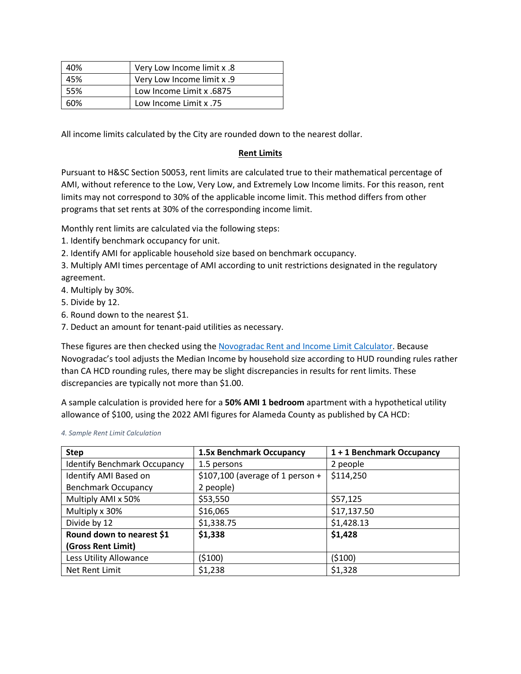| 40% | Very Low Income limit x .8 |
|-----|----------------------------|
| 45% | Very Low Income limit x .9 |
| 55% | Low Income Limit x .6875   |
| 60% | Low Income Limit x .75     |

All income limits calculated by the City are rounded down to the nearest dollar.

#### **Rent Limits**

Pursuant to H&SC Section 50053, rent limits are calculated true to their mathematical percentage of AMI, without reference to the Low, Very Low, and Extremely Low Income limits. For this reason, rent limits may not correspond to 30% of the applicable income limit. This method differs from other programs that set rents at 30% of the corresponding income limit.

Monthly rent limits are calculated via the following steps:

- 1. Identify benchmark occupancy for unit.
- 2. Identify AMI for applicable household size based on benchmark occupancy.
- 3. Multiply AMI times percentage of AMI according to unit restrictions designated in the regulatory agreement.
- 4. Multiply by 30%.
- 5. Divide by 12.
- 6. Round down to the nearest \$1.
- 7. Deduct an amount for tenant-paid utilities as necessary.

These figures are then checked using the [Novogradac Rent and Income Limit Calculator.](https://www.novoco.com/resource-centers/affordable-housing-tax-credits/rent-income-limit-calculator) Because Novogradac's tool adjusts the Median Income by household size according to HUD rounding rules rather than CA HCD rounding rules, there may be slight discrepancies in results for rent limits. These discrepancies are typically not more than \$1.00.

A sample calculation is provided here for a **50% AMI 1 bedroom** apartment with a hypothetical utility allowance of \$100, using the 2022 AMI figures for Alameda County as published by CA HCD:

| <b>Step</b>                         | 1.5x Benchmark Occupancy          | 1 + 1 Benchmark Occupancy |  |
|-------------------------------------|-----------------------------------|---------------------------|--|
| <b>Identify Benchmark Occupancy</b> | 1.5 persons                       | 2 people                  |  |
| Identify AMI Based on               | $$107,100$ (average of 1 person + | \$114,250                 |  |
| <b>Benchmark Occupancy</b>          | 2 people)                         |                           |  |
| Multiply AMI x 50%                  | \$53,550                          | \$57,125                  |  |
| Multiply x 30%                      | \$16,065                          | \$17,137.50               |  |
| Divide by 12                        | \$1,338.75                        | \$1,428.13                |  |
| Round down to nearest \$1           | \$1,338                           | \$1,428                   |  |
| (Gross Rent Limit)                  |                                   |                           |  |
| Less Utility Allowance              | (5100)                            | (5100)                    |  |
| Net Rent Limit                      | \$1,238                           | \$1,328                   |  |

*4. Sample Rent Limit Calculation*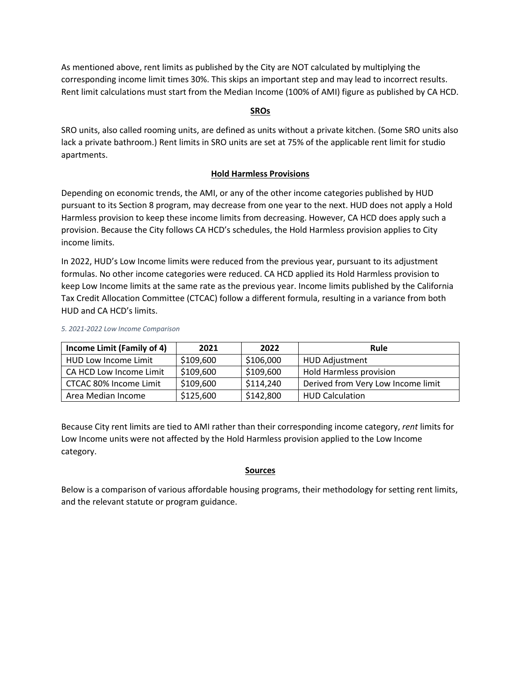As mentioned above, rent limits as published by the City are NOT calculated by multiplying the corresponding income limit times 30%. This skips an important step and may lead to incorrect results. Rent limit calculations must start from the Median Income (100% of AMI) figure as published by CA HCD.

## **SROs**

SRO units, also called rooming units, are defined as units without a private kitchen. (Some SRO units also lack a private bathroom.) Rent limits in SRO units are set at 75% of the applicable rent limit for studio apartments.

## **Hold Harmless Provisions**

Depending on economic trends, the AMI, or any of the other income categories published by HUD pursuant to its Section 8 program, may decrease from one year to the next. HUD does not apply a Hold Harmless provision to keep these income limits from decreasing. However, CA HCD does apply such a provision. Because the City follows CA HCD's schedules, the Hold Harmless provision applies to City income limits.

In 2022, HUD's Low Income limits were reduced from the previous year, pursuant to its adjustment formulas. No other income categories were reduced. CA HCD applied its Hold Harmless provision to keep Low Income limits at the same rate as the previous year. Income limits published by the California Tax Credit Allocation Committee (CTCAC) follow a different formula, resulting in a variance from both HUD and CA HCD's limits.

| Income Limit (Family of 4)                       | 2021      | 2022                               | Rule                    |
|--------------------------------------------------|-----------|------------------------------------|-------------------------|
| HUD Low Income Limit                             | \$109,600 | \$106,000                          | <b>HUD Adjustment</b>   |
| CA HCD Low Income Limit                          | \$109,600 | \$109,600                          | Hold Harmless provision |
| \$114,240<br>\$109,600<br>CTCAC 80% Income Limit |           | Derived from Very Low Income limit |                         |
| Area Median Income                               | \$125,600 | \$142,800                          | <b>HUD Calculation</b>  |

#### *5. 2021-2022 Low Income Comparison*

Because City rent limits are tied to AMI rather than their corresponding income category, *rent* limits for Low Income units were not affected by the Hold Harmless provision applied to the Low Income category.

#### **Sources**

Below is a comparison of various affordable housing programs, their methodology for setting rent limits, and the relevant statute or program guidance.